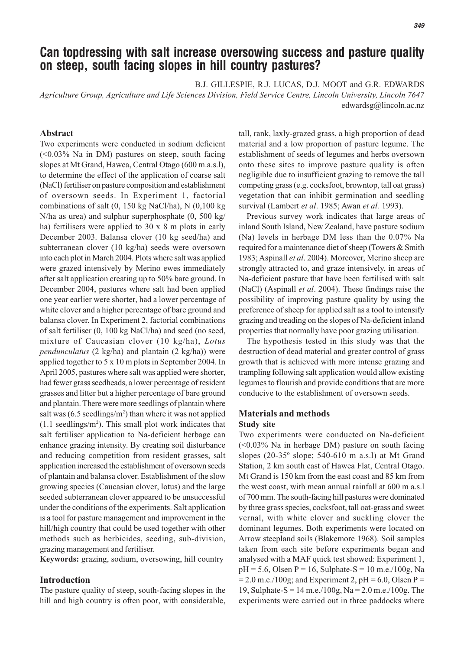# **Can topdressing with salt increase oversowing success and pasture quality on steep, south facing slopes in hill country pastures?**

B.J. GILLESPIE, R.J. LUCAS, D.J. MOOT and G.R. EDWARDS

*Agriculture Group, Agriculture and Life Sciences Division, Field Service Centre, Lincoln University, Lincoln 7647* edwardsg@lincoln.ac.nz

## **Abstract**

Two experiments were conducted in sodium deficient (<0.03% Na in DM) pastures on steep, south facing slopes at Mt Grand, Hawea, Central Otago (600 m.a.s.l), to determine the effect of the application of coarse salt (NaCl) fertiliser on pasture composition and establishment of oversown seeds. In Experiment 1, factorial combinations of salt (0, 150 kg NaCl/ha), N (0,100 kg N/ha as urea) and sulphur superphosphate (0, 500 kg/ ha) fertilisers were applied to 30 x 8 m plots in early December 2003. Balansa clover (10 kg seed/ha) and subterranean clover (10 kg/ha) seeds were oversown into each plot in March 2004. Plots where salt was applied were grazed intensively by Merino ewes immediately after salt application creating up to 50% bare ground. In December 2004, pastures where salt had been applied one year earlier were shorter, had a lower percentage of white clover and a higher percentage of bare ground and balansa clover. In Experiment 2, factorial combinations of salt fertiliser (0, 100 kg NaCl/ha) and seed (no seed, mixture of Caucasian clover (10 kg/ha), *Lotus pendunculatus* (2 kg/ha) and plantain (2 kg/ha)) were applied together to 5 x 10 m plots in September 2004. In April 2005, pastures where salt was applied were shorter, had fewer grass seedheads, a lower percentage of resident grasses and litter but a higher percentage of bare ground and plantain. There were more seedlings of plantain where salt was (6.5 seedlings/m<sup>2</sup>) than where it was not applied  $(1.1$  seedlings/m<sup>2</sup>). This small plot work indicates that salt fertiliser application to Na-deficient herbage can enhance grazing intensity. By creating soil disturbance and reducing competition from resident grasses, salt application increased the establishment of oversown seeds of plantain and balansa clover. Establishment of the slow growing species (Caucasian clover, lotus) and the large seeded subterranean clover appeared to be unsuccessful under the conditions of the experiments. Salt application is a tool for pasture management and improvement in the hill/high country that could be used together with other methods such as herbicides, seeding, sub-division, grazing management and fertiliser.

**Keywords:** grazing, sodium, oversowing, hill country

#### **Introduction**

The pasture quality of steep, south-facing slopes in the hill and high country is often poor, with considerable,

tall, rank, laxly-grazed grass, a high proportion of dead material and a low proportion of pasture legume. The establishment of seeds of legumes and herbs oversown onto these sites to improve pasture quality is often negligible due to insufficient grazing to remove the tall competing grass (e.g. cocksfoot, browntop, tall oat grass) vegetation that can inhibit germination and seedling survival (Lambert *et al*. 1985; Awan *et al.* 1993).

Previous survey work indicates that large areas of inland South Island, New Zealand, have pasture sodium (Na) levels in herbage DM less than the 0.07% Na required for a maintenance diet of sheep (Towers & Smith 1983; Aspinall *et al*. 2004). Moreover, Merino sheep are strongly attracted to, and graze intensively, in areas of Na-deficient pasture that have been fertilised with salt (NaCl) (Aspinall *et al*. 2004). These findings raise the possibility of improving pasture quality by using the preference of sheep for applied salt as a tool to intensify grazing and treading on the slopes of Na-deficient inland properties that normally have poor grazing utilisation.

The hypothesis tested in this study was that the destruction of dead material and greater control of grass growth that is achieved with more intense grazing and trampling following salt application would allow existing legumes to flourish and provide conditions that are more conducive to the establishment of oversown seeds.

### **Materials and methods Study site**

Two experiments were conducted on Na-deficient (<0.03% Na in herbage DM) pasture on south facing slopes (20-35º slope; 540-610 m a.s.l) at Mt Grand Station, 2 km south east of Hawea Flat, Central Otago. Mt Grand is 150 km from the east coast and 85 km from the west coast, with mean annual rainfall at 600 m a.s.l of 700 mm. The south-facing hill pastures were dominated by three grass species, cocksfoot, tall oat-grass and sweet vernal, with white clover and suckling clover the dominant legumes. Both experiments were located on Arrow steepland soils (Blakemore 1968). Soil samples taken from each site before experiments began and analysed with a MAF quick test showed: Experiment 1,  $pH = 5.6$ , Olsen P = 16, Sulphate-S = 10 m.e./100g, Na  $= 2.0$  m.e./100g; and Experiment 2, pH  $= 6.0$ , Olsen P  $=$ 19, Sulphate-S = 14 m.e./100g, Na = 2.0 m.e./100g. The experiments were carried out in three paddocks where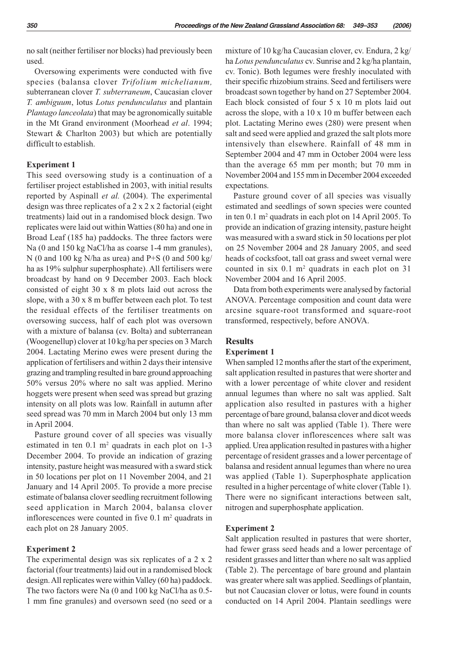no salt (neither fertiliser nor blocks) had previously been used.

Oversowing experiments were conducted with five species (balansa clover *Trifolium michelianum,* subterranean clover *T. subterraneum*, Caucasian clover *T. ambiguum*, lotus *Lotus pendunculatus* and plantain *Plantago lanceolata*) that may be agronomically suitable in the Mt Grand environment (Moorhead *et al*. 1994; Stewart & Charlton 2003) but which are potentially difficult to establish.

#### **Experiment 1**

This seed oversowing study is a continuation of a fertiliser project established in 2003, with initial results reported by Aspinall *et al.* (2004). The experimental design was three replicates of a 2 x 2 x 2 factorial (eight treatments) laid out in a randomised block design. Two replicates were laid out within Watties (80 ha) and one in Broad Leaf (185 ha) paddocks. The three factors were Na (0 and 150 kg NaCl/ha as coarse 1-4 mm granules), N (0 and 100 kg N/ha as urea) and P+S (0 and 500 kg/ ha as 19% sulphur superphosphate). All fertilisers were broadcast by hand on 9 December 2003. Each block consisted of eight 30 x 8 m plots laid out across the slope, with a 30 x 8 m buffer between each plot. To test the residual effects of the fertiliser treatments on oversowing success, half of each plot was oversown with a mixture of balansa (cv. Bolta) and subterranean (Woogenellup) clover at 10 kg/ha per species on 3 March 2004. Lactating Merino ewes were present during the application of fertilisers and within 2 days their intensive grazing and trampling resulted in bare ground approaching 50% versus 20% where no salt was applied. Merino hoggets were present when seed was spread but grazing intensity on all plots was low. Rainfall in autumn after seed spread was 70 mm in March 2004 but only 13 mm in April 2004.

Pasture ground cover of all species was visually estimated in ten  $0.1 \text{ m}^2$  quadrats in each plot on 1-3 December 2004. To provide an indication of grazing intensity, pasture height was measured with a sward stick in 50 locations per plot on 11 November 2004, and 21 January and 14 April 2005. To provide a more precise estimate of balansa clover seedling recruitment following seed application in March 2004, balansa clover inflorescences were counted in five  $0.1 \text{ m}^2$  quadrats in each plot on 28 January 2005.

#### **Experiment 2**

The experimental design was six replicates of a 2 x 2 factorial (four treatments) laid out in a randomised block design. All replicates were within Valley (60 ha) paddock. The two factors were Na (0 and 100 kg NaCl/ha as 0.5- 1 mm fine granules) and oversown seed (no seed or a mixture of 10 kg/ha Caucasian clover, cv. Endura, 2 kg/ ha *Lotus pendunculatus* cv. Sunrise and 2 kg/ha plantain, cv. Tonic). Both legumes were freshly inoculated with their specific rhizobium strains. Seed and fertilisers were broadcast sown together by hand on 27 September 2004. Each block consisted of four 5 x 10 m plots laid out across the slope, with a 10 x 10 m buffer between each plot. Lactating Merino ewes (280) were present when salt and seed were applied and grazed the salt plots more intensively than elsewhere. Rainfall of 48 mm in September 2004 and 47 mm in October 2004 were less than the average 65 mm per month; but 70 mm in November 2004 and 155 mm in December 2004 exceeded expectations.

Pasture ground cover of all species was visually estimated and seedlings of sown species were counted in ten 0.1 m2 quadrats in each plot on 14 April 2005. To provide an indication of grazing intensity, pasture height was measured with a sward stick in 50 locations per plot on 25 November 2004 and 28 January 2005, and seed heads of cocksfoot, tall oat grass and sweet vernal were counted in six  $0.1 \text{ m}^2$  quadrats in each plot on 31 November 2004 and 16 April 2005.

Data from both experiments were analysed by factorial ANOVA. Percentage composition and count data were arcsine square-root transformed and square-root transformed, respectively, before ANOVA.

#### **Results**

#### **Experiment 1**

When sampled 12 months after the start of the experiment, salt application resulted in pastures that were shorter and with a lower percentage of white clover and resident annual legumes than where no salt was applied. Salt application also resulted in pastures with a higher percentage of bare ground, balansa clover and dicot weeds than where no salt was applied (Table 1). There were more balansa clover inflorescences where salt was applied. Urea application resulted in pastures with a higher percentage of resident grasses and a lower percentage of balansa and resident annual legumes than where no urea was applied (Table 1). Superphosphate application resulted in a higher percentage of white clover (Table 1). There were no significant interactions between salt, nitrogen and superphosphate application.

#### **Experiment 2**

Salt application resulted in pastures that were shorter, had fewer grass seed heads and a lower percentage of resident grasses and litter than where no salt was applied (Table 2). The percentage of bare ground and plantain was greater where salt was applied. Seedlings of plantain, but not Caucasian clover or lotus, were found in counts conducted on 14 April 2004. Plantain seedlings were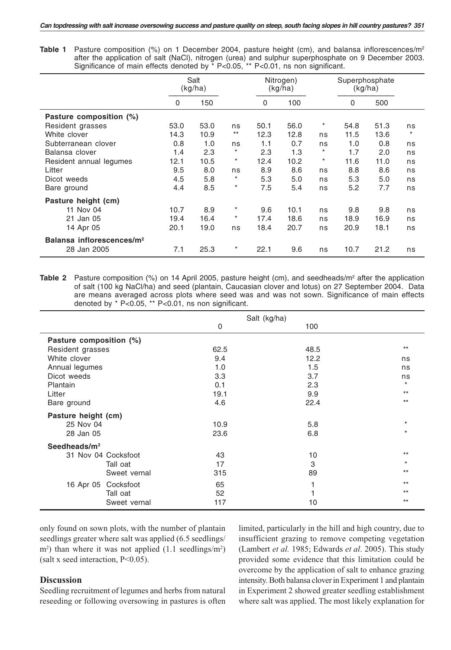**Table 1** Pasture composition (%) on 1 December 2004, pasture height (cm), and balansa inflorescences/m<sup>2</sup> after the application of salt (NaCl), nitrogen (urea) and sulphur superphosphate on 9 December 2003. Significance of main effects denoted by \* P<0.05, \*\* P<0.01, ns non significant.

|                                       |      | Salt<br>(kg/ha) |          |      | Nitrogen)<br>(kg/ha) |          | Superphosphate<br>(kg/ha) |      |         |
|---------------------------------------|------|-----------------|----------|------|----------------------|----------|---------------------------|------|---------|
|                                       | 0    | 150             |          | 0    | 100                  |          | 0                         | 500  |         |
| Pasture composition (%)               |      |                 |          |      |                      |          |                           |      |         |
| Resident grasses                      | 53.0 | 53.0            | ns       | 50.1 | 56.0                 | $^\ast$  | 54.8                      | 51.3 | ns      |
| White clover                          | 14.3 | 10.9            | $**$     | 12.3 | 12.8                 | ns       | 11.5                      | 13.6 | $\star$ |
| Subterranean clover                   | 0.8  | 1.0             | ns       | 1.1  | 0.7                  | ns       | 1.0                       | 0.8  | ns      |
| Balansa clover                        | 1.4  | 2.3             | $^\star$ | 2.3  | 1.3                  | $\star$  | 1.7                       | 2.0  | ns      |
| Resident annual legumes               | 12.1 | 10.5            | $^\star$ | 12.4 | 10.2                 | $^\star$ | 11.6                      | 11.0 | ns      |
| Litter                                | 9.5  | 8.0             | ns       | 8.9  | 8.6                  | ns       | 8.8                       | 8.6  | ns      |
| Dicot weeds                           | 4.5  | 5.8             | *        | 5.3  | 5.0                  | ns       | 5.3                       | 5.0  | ns      |
| Bare ground                           | 4.4  | 8.5             | $^\star$ | 7.5  | 5.4                  | ns       | 5.2                       | 7.7  | ns      |
| Pasture height (cm)                   |      |                 |          |      |                      |          |                           |      |         |
| 11 Nov 04                             | 10.7 | 8.9             | $^\star$ | 9.6  | 10.1                 | ns       | 9.8                       | 9.8  | ns      |
| 21 Jan 05                             | 19.4 | 16.4            | $^\star$ | 17.4 | 18.6                 | ns       | 18.9                      | 16.9 | ns      |
| 14 Apr 05                             | 20.1 | 19.0            | ns       | 18.4 | 20.7                 | ns       | 20.9                      | 18.1 | ns      |
| Balansa inflorescences/m <sup>2</sup> |      |                 |          |      |                      |          |                           |      |         |
| 28 Jan 2005                           | 7.1  | 25.3            | $^\star$ | 22.1 | 9.6                  | ns       | 10.7                      | 21.2 | ns      |

Table 2 Pasture composition (%) on 14 April 2005, pasture height (cm), and seedheads/m<sup>2</sup> after the application of salt (100 kg NaCl/ha) and seed (plantain, Caucasian clover and lotus) on 27 September 2004. Data are means averaged across plots where seed was and was not sown. Significance of main effects denoted by \* P<0.05, \*\* P<0.01, ns non significant.

|                         |      | Salt (kg/ha) |         |  |  |  |
|-------------------------|------|--------------|---------|--|--|--|
|                         | 0    | 100          |         |  |  |  |
| Pasture composition (%) |      |              |         |  |  |  |
| Resident grasses        | 62.5 | 48.5         | $**$    |  |  |  |
| White clover            | 9.4  | 12.2         | ns      |  |  |  |
| Annual legumes          | 1.0  | 1.5          | ns      |  |  |  |
| Dicot weeds             | 3.3  | 3.7          | ns      |  |  |  |
| Plantain                | 0.1  | 2.3          | $\star$ |  |  |  |
| Litter                  | 19.1 | 9.9          | $**$    |  |  |  |
| Bare ground             | 4.6  | 22.4         | $**$    |  |  |  |
| Pasture height (cm)     |      |              |         |  |  |  |
| 25 Nov 04               | 10.9 | 5.8          | $\star$ |  |  |  |
| 28 Jan 05               | 23.6 | 6.8          | $\star$ |  |  |  |
| Seedheads/ $m^2$        |      |              |         |  |  |  |
| 31 Nov 04 Cocksfoot     | 43   | 10           | $**$    |  |  |  |
| Tall oat                | 17   | 3            | $\star$ |  |  |  |
| Sweet vernal            | 315  | 89           | $**$    |  |  |  |
| Cocksfoot<br>16 Apr 05  | 65   |              | $**$    |  |  |  |
| Tall oat                | 52   |              | $**$    |  |  |  |
| Sweet vernal            | 117  | 10           | $**$    |  |  |  |

only found on sown plots, with the number of plantain seedlings greater where salt was applied (6.5 seedlings/ m<sup>2</sup>) than where it was not applied (1.1 seedlings/m<sup>2</sup>) (salt x seed interaction, P<0.05).

#### **Discussion**

Seedling recruitment of legumes and herbs from natural reseeding or following oversowing in pastures is often

limited, particularly in the hill and high country, due to insufficient grazing to remove competing vegetation (Lambert *et al.* 1985; Edwards *et al*. 2005). This study provided some evidence that this limitation could be overcome by the application of salt to enhance grazing intensity. Both balansa clover in Experiment 1 and plantain in Experiment 2 showed greater seedling establishment where salt was applied. The most likely explanation for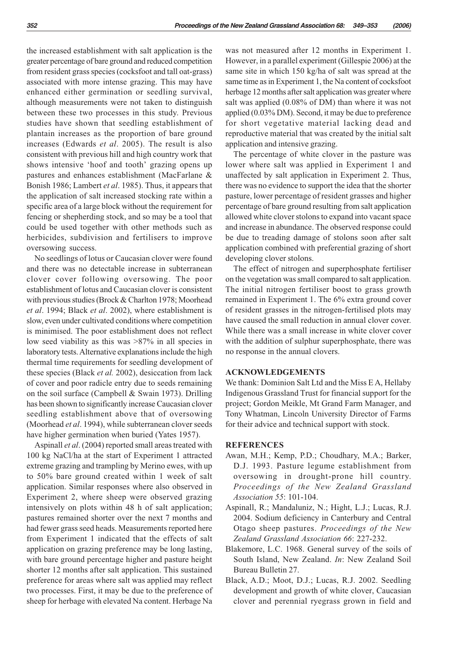the increased establishment with salt application is the greater percentage of bare ground and reduced competition from resident grass species (cocksfoot and tall oat-grass) associated with more intense grazing. This may have enhanced either germination or seedling survival, although measurements were not taken to distinguish between these two processes in this study. Previous studies have shown that seedling establishment of plantain increases as the proportion of bare ground increases (Edwards *et al*. 2005). The result is also consistent with previous hill and high country work that shows intensive 'hoof and tooth' grazing opens up pastures and enhances establishment (MacFarlane & Bonish 1986; Lambert *et al*. 1985). Thus, it appears that the application of salt increased stocking rate within a specific area of a large block without the requirement for fencing or shepherding stock, and so may be a tool that could be used together with other methods such as herbicides, subdivision and fertilisers to improve oversowing success.

No seedlings of lotus or Caucasian clover were found and there was no detectable increase in subterranean clover cover following oversowing. The poor establishment of lotus and Caucasian clover is consistent with previous studies (Brock & Charlton 1978; Moorhead *et al*. 1994; Black *et al*. 2002), where establishment is slow, even under cultivated conditions where competition is minimised. The poor establishment does not reflect low seed viability as this was >87% in all species in laboratory tests. Alternative explanations include the high thermal time requirements for seedling development of these species (Black *et al.* 2002), desiccation from lack of cover and poor radicle entry due to seeds remaining on the soil surface (Campbell & Swain 1973). Drilling has been shown to significantly increase Caucasian clover seedling establishment above that of oversowing (Moorhead *et al*. 1994), while subterranean clover seeds have higher germination when buried (Yates 1957).

Aspinall *et al*. (2004) reported small areas treated with 100 kg NaCl/ha at the start of Experiment 1 attracted extreme grazing and trampling by Merino ewes, with up to 50% bare ground created within 1 week of salt application. Similar responses where also observed in Experiment 2, where sheep were observed grazing intensively on plots within 48 h of salt application; pastures remained shorter over the next 7 months and had fewer grass seed heads. Measurements reported here from Experiment 1 indicated that the effects of salt application on grazing preference may be long lasting, with bare ground percentage higher and pasture height shorter 12 months after salt application. This sustained preference for areas where salt was applied may reflect two processes. First, it may be due to the preference of sheep for herbage with elevated Na content. Herbage Na was not measured after 12 months in Experiment 1. However, in a parallel experiment (Gillespie 2006) at the same site in which 150 kg/ha of salt was spread at the same time as in Experiment 1, the Na content of cocksfoot herbage 12 months after salt application was greater where salt was applied (0.08% of DM) than where it was not applied (0.03% DM). Second, it may be due to preference for short vegetative material lacking dead and reproductive material that was created by the initial salt application and intensive grazing.

The percentage of white clover in the pasture was lower where salt was applied in Experiment 1 and unaffected by salt application in Experiment 2. Thus, there was no evidence to support the idea that the shorter pasture, lower percentage of resident grasses and higher percentage of bare ground resulting from salt application allowed white clover stolons to expand into vacant space and increase in abundance. The observed response could be due to treading damage of stolons soon after salt application combined with preferential grazing of short developing clover stolons.

The effect of nitrogen and superphosphate fertiliser on the vegetation was small compared to salt application. The initial nitrogen fertiliser boost to grass growth remained in Experiment 1. The 6% extra ground cover of resident grasses in the nitrogen-fertilised plots may have caused the small reduction in annual clover cover. While there was a small increase in white clover cover with the addition of sulphur superphosphate, there was no response in the annual clovers.

#### **ACKNOWLEDGEMENTS**

We thank: Dominion Salt Ltd and the Miss E A, Hellaby Indigenous Grassland Trust for financial support for the project; Gordon Meikle, Mt Grand Farm Manager, and Tony Whatman, Lincoln University Director of Farms for their advice and technical support with stock.

#### **REFERENCES**

- Awan, M.H.; Kemp, P.D.; Choudhary, M.A.; Barker, D.J. 1993. Pasture legume establishment from oversowing in drought-prone hill country. *Proceedings of the New Zealand Grassland Association 55*: 101-104.
- Aspinall, R.; Mandaluniz, N.; Hight, L.J.; Lucas, R.J. 2004. Sodium deficiency in Canterbury and Central Otago sheep pastures. *Proceedings of the New Zealand Grassland Association 66*: 227-232.
- Blakemore, L.C. 1968. General survey of the soils of South Island, New Zealand. *In*: New Zealand Soil Bureau Bulletin 27.
- Black, A.D.; Moot, D.J.; Lucas, R.J. 2002. Seedling development and growth of white clover, Caucasian clover and perennial ryegrass grown in field and